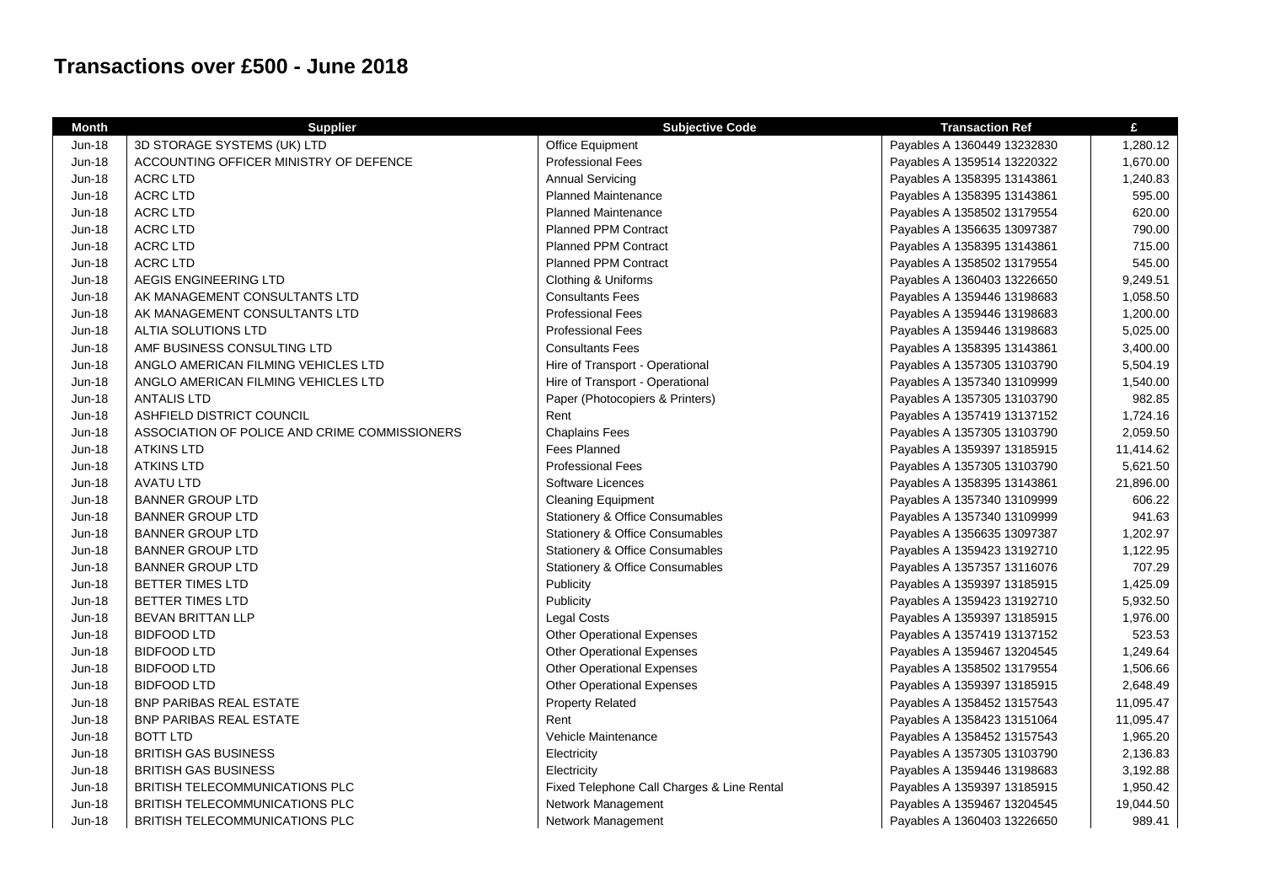## **Transactions over £500 - June 2018**

| <b>Month</b>  | <b>Supplier</b>                               | <b>Subjective Code</b>                     | <b>Transaction Ref</b>      | £         |
|---------------|-----------------------------------------------|--------------------------------------------|-----------------------------|-----------|
| Jun-18        | 3D STORAGE SYSTEMS (UK) LTD                   | Office Equipment                           | Payables A 1360449 13232830 | 1,280.12  |
| Jun-18        | ACCOUNTING OFFICER MINISTRY OF DEFENCE        | <b>Professional Fees</b>                   | Payables A 1359514 13220322 | 1,670.00  |
| <b>Jun-18</b> | <b>ACRC LTD</b>                               | <b>Annual Servicing</b>                    | Payables A 1358395 13143861 | 1,240.83  |
| Jun-18        | <b>ACRC LTD</b>                               | <b>Planned Maintenance</b>                 | Payables A 1358395 13143861 | 595.00    |
| Jun-18        | <b>ACRC LTD</b>                               | <b>Planned Maintenance</b>                 | Payables A 1358502 13179554 | 620.00    |
| Jun-18        | <b>ACRC LTD</b>                               | <b>Planned PPM Contract</b>                | Payables A 1356635 13097387 | 790.00    |
| Jun-18        | <b>ACRC LTD</b>                               | <b>Planned PPM Contract</b>                | Payables A 1358395 13143861 | 715.00    |
| Jun-18        | <b>ACRC LTD</b>                               | <b>Planned PPM Contract</b>                | Payables A 1358502 13179554 | 545.00    |
| Jun-18        | AEGIS ENGINEERING LTD                         | Clothing & Uniforms                        | Payables A 1360403 13226650 | 9,249.51  |
| Jun-18        | AK MANAGEMENT CONSULTANTS LTD                 | <b>Consultants Fees</b>                    | Payables A 1359446 13198683 | 1,058.50  |
| Jun-18        | AK MANAGEMENT CONSULTANTS LTD                 | <b>Professional Fees</b>                   | Payables A 1359446 13198683 | 1,200.00  |
| <b>Jun-18</b> | ALTIA SOLUTIONS LTD                           | <b>Professional Fees</b>                   | Payables A 1359446 13198683 | 5,025.00  |
| <b>Jun-18</b> | AMF BUSINESS CONSULTING LTD                   | <b>Consultants Fees</b>                    | Payables A 1358395 13143861 | 3,400.00  |
| Jun-18        | ANGLO AMERICAN FILMING VEHICLES LTD           | Hire of Transport - Operational            | Payables A 1357305 13103790 | 5,504.19  |
| <b>Jun-18</b> | ANGLO AMERICAN FILMING VEHICLES LTD           | Hire of Transport - Operational            | Payables A 1357340 13109999 | 1,540.00  |
| <b>Jun-18</b> | <b>ANTALIS LTD</b>                            | Paper (Photocopiers & Printers)            | Payables A 1357305 13103790 | 982.85    |
| <b>Jun-18</b> | ASHFIELD DISTRICT COUNCIL                     | Rent                                       | Payables A 1357419 13137152 | 1,724.16  |
| <b>Jun-18</b> | ASSOCIATION OF POLICE AND CRIME COMMISSIONERS | <b>Chaplains Fees</b>                      | Payables A 1357305 13103790 | 2,059.50  |
| <b>Jun-18</b> | <b>ATKINS LTD</b>                             | Fees Planned                               | Payables A 1359397 13185915 | 11,414.62 |
| Jun-18        | <b>ATKINS LTD</b>                             | <b>Professional Fees</b>                   | Payables A 1357305 13103790 | 5,621.50  |
| Jun-18        | <b>AVATU LTD</b>                              | Software Licences                          | Payables A 1358395 13143861 | 21,896.00 |
| Jun-18        | <b>BANNER GROUP LTD</b>                       | <b>Cleaning Equipment</b>                  | Payables A 1357340 13109999 | 606.22    |
| Jun-18        | <b>BANNER GROUP LTD</b>                       | Stationery & Office Consumables            | Payables A 1357340 13109999 | 941.63    |
| Jun-18        | <b>BANNER GROUP LTD</b>                       | Stationery & Office Consumables            | Payables A 1356635 13097387 | 1,202.97  |
| Jun-18        | <b>BANNER GROUP LTD</b>                       | Stationery & Office Consumables            | Payables A 1359423 13192710 | 1,122.95  |
| Jun-18        | <b>BANNER GROUP LTD</b>                       | <b>Stationery &amp; Office Consumables</b> | Payables A 1357357 13116076 | 707.29    |
| <b>Jun-18</b> | BETTER TIMES LTD                              | Publicity                                  | Payables A 1359397 13185915 | 1,425.09  |
| Jun-18        | BETTER TIMES LTD                              | Publicity                                  | Payables A 1359423 13192710 | 5,932.50  |
| Jun-18        | <b>BEVAN BRITTAN LLP</b>                      | Legal Costs                                | Payables A 1359397 13185915 | 1,976.00  |
| Jun-18        | <b>BIDFOOD LTD</b>                            | <b>Other Operational Expenses</b>          | Payables A 1357419 13137152 | 523.53    |
| Jun-18        | <b>BIDFOOD LTD</b>                            | <b>Other Operational Expenses</b>          | Payables A 1359467 13204545 | 1,249.64  |
| <b>Jun-18</b> | <b>BIDFOOD LTD</b>                            | <b>Other Operational Expenses</b>          | Payables A 1358502 13179554 | 1,506.66  |
| Jun-18        | <b>BIDFOOD LTD</b>                            | <b>Other Operational Expenses</b>          | Payables A 1359397 13185915 | 2,648.49  |
| Jun-18        | <b>BNP PARIBAS REAL ESTATE</b>                | <b>Property Related</b>                    | Payables A 1358452 13157543 | 11,095.47 |
| Jun-18        | BNP PARIBAS REAL ESTATE                       | Rent                                       | Payables A 1358423 13151064 | 11,095.47 |
| $Jun-18$      | <b>BOTT LTD</b>                               | Vehicle Maintenance                        | Payables A 1358452 13157543 | 1,965.20  |
| <b>Jun-18</b> | <b>BRITISH GAS BUSINESS</b>                   | Electricity                                | Payables A 1357305 13103790 | 2,136.83  |
| <b>Jun-18</b> | <b>BRITISH GAS BUSINESS</b>                   | Electricity                                | Payables A 1359446 13198683 | 3,192.88  |
| <b>Jun-18</b> | <b>BRITISH TELECOMMUNICATIONS PLC</b>         | Fixed Telephone Call Charges & Line Rental | Payables A 1359397 13185915 | 1,950.42  |
| <b>Jun-18</b> | <b>BRITISH TELECOMMUNICATIONS PLC</b>         | Network Management                         | Payables A 1359467 13204545 | 19,044.50 |
| Jun-18        | BRITISH TELECOMMUNICATIONS PLC                | Network Management                         | Payables A 1360403 13226650 | 989.41    |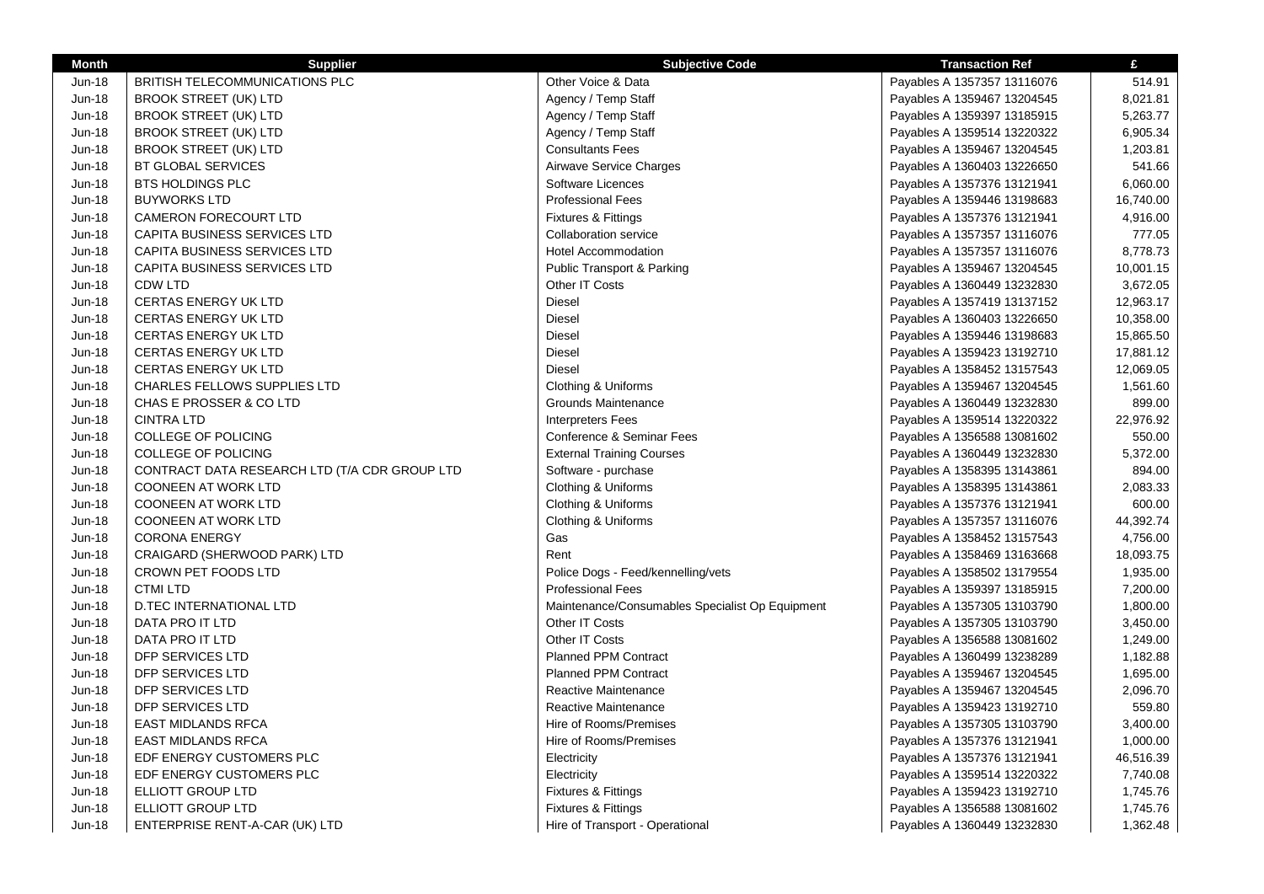| <b>Month</b>  | <b>Supplier</b>                               | <b>Subjective Code</b>                          | <b>Transaction Ref</b>      | £         |
|---------------|-----------------------------------------------|-------------------------------------------------|-----------------------------|-----------|
| <b>Jun-18</b> | <b>BRITISH TELECOMMUNICATIONS PLC</b>         | Other Voice & Data                              | Payables A 1357357 13116076 | 514.91    |
| <b>Jun-18</b> | <b>BROOK STREET (UK) LTD</b>                  | Agency / Temp Staff                             | Payables A 1359467 13204545 | 8,021.81  |
| Jun-18        | <b>BROOK STREET (UK) LTD</b>                  | Agency / Temp Staff                             | Payables A 1359397 13185915 | 5,263.77  |
| <b>Jun-18</b> | <b>BROOK STREET (UK) LTD</b>                  | Agency / Temp Staff                             | Payables A 1359514 13220322 | 6,905.34  |
| Jun-18        | <b>BROOK STREET (UK) LTD</b>                  | <b>Consultants Fees</b>                         | Payables A 1359467 13204545 | 1,203.81  |
| Jun-18        | <b>BT GLOBAL SERVICES</b>                     | Airwave Service Charges                         | Payables A 1360403 13226650 | 541.66    |
| <b>Jun-18</b> | <b>BTS HOLDINGS PLC</b>                       | Software Licences                               | Payables A 1357376 13121941 | 6,060.00  |
| <b>Jun-18</b> | <b>BUYWORKS LTD</b>                           | <b>Professional Fees</b>                        | Payables A 1359446 13198683 | 16,740.00 |
| <b>Jun-18</b> | <b>CAMERON FORECOURT LTD</b>                  | <b>Fixtures &amp; Fittings</b>                  | Payables A 1357376 13121941 | 4,916.00  |
| <b>Jun-18</b> | <b>CAPITA BUSINESS SERVICES LTD</b>           | <b>Collaboration service</b>                    | Payables A 1357357 13116076 | 777.05    |
| <b>Jun-18</b> | CAPITA BUSINESS SERVICES LTD                  | <b>Hotel Accommodation</b>                      | Payables A 1357357 13116076 | 8,778.73  |
| <b>Jun-18</b> | CAPITA BUSINESS SERVICES LTD                  | Public Transport & Parking                      | Payables A 1359467 13204545 | 10,001.15 |
| Jun-18        | <b>CDW LTD</b>                                | Other IT Costs                                  | Payables A 1360449 13232830 | 3,672.05  |
| Jun-18        | <b>CERTAS ENERGY UK LTD</b>                   | Diesel                                          | Payables A 1357419 13137152 | 12,963.17 |
| <b>Jun-18</b> | <b>CERTAS ENERGY UK LTD</b>                   | Diesel                                          | Payables A 1360403 13226650 | 10,358.00 |
| Jun-18        | <b>CERTAS ENERGY UK LTD</b>                   | Diesel                                          | Payables A 1359446 13198683 | 15,865.50 |
| <b>Jun-18</b> | <b>CERTAS ENERGY UK LTD</b>                   | <b>Diesel</b>                                   | Payables A 1359423 13192710 | 17,881.12 |
| <b>Jun-18</b> | <b>CERTAS ENERGY UK LTD</b>                   | <b>Diesel</b>                                   | Payables A 1358452 13157543 | 12,069.05 |
| <b>Jun-18</b> | CHARLES FELLOWS SUPPLIES LTD                  | Clothing & Uniforms                             | Payables A 1359467 13204545 | 1,561.60  |
| Jun-18        | CHAS E PROSSER & CO LTD                       | <b>Grounds Maintenance</b>                      | Payables A 1360449 13232830 | 899.00    |
| <b>Jun-18</b> | <b>CINTRA LTD</b>                             | <b>Interpreters Fees</b>                        | Payables A 1359514 13220322 | 22,976.92 |
| <b>Jun-18</b> | <b>COLLEGE OF POLICING</b>                    | Conference & Seminar Fees                       | Payables A 1356588 13081602 | 550.00    |
| Jun-18        | <b>COLLEGE OF POLICING</b>                    | <b>External Training Courses</b>                | Payables A 1360449 13232830 | 5,372.00  |
| <b>Jun-18</b> | CONTRACT DATA RESEARCH LTD (T/A CDR GROUP LTD | Software - purchase                             | Payables A 1358395 13143861 | 894.00    |
| <b>Jun-18</b> | <b>COONEEN AT WORK LTD</b>                    | Clothing & Uniforms                             | Payables A 1358395 13143861 | 2,083.33  |
| <b>Jun-18</b> | <b>COONEEN AT WORK LTD</b>                    | Clothing & Uniforms                             | Payables A 1357376 13121941 | 600.00    |
| <b>Jun-18</b> | <b>COONEEN AT WORK LTD</b>                    | Clothing & Uniforms                             | Payables A 1357357 13116076 | 44,392.74 |
| <b>Jun-18</b> | <b>CORONA ENERGY</b>                          | Gas                                             | Payables A 1358452 13157543 | 4,756.00  |
| Jun-18        | CRAIGARD (SHERWOOD PARK) LTD                  | Rent                                            | Payables A 1358469 13163668 | 18,093.75 |
| <b>Jun-18</b> | CROWN PET FOODS LTD                           | Police Dogs - Feed/kennelling/vets              | Payables A 1358502 13179554 | 1,935.00  |
| Jun-18        | <b>CTMI LTD</b>                               | <b>Professional Fees</b>                        | Payables A 1359397 13185915 | 7,200.00  |
| Jun-18        | <b>D.TEC INTERNATIONAL LTD</b>                | Maintenance/Consumables Specialist Op Equipment | Payables A 1357305 13103790 | 1,800.00  |
| Jun-18        | DATA PRO IT LTD                               | Other IT Costs                                  | Payables A 1357305 13103790 | 3,450.00  |
| <b>Jun-18</b> | DATA PRO IT LTD                               | Other IT Costs                                  | Payables A 1356588 13081602 | 1,249.00  |
| <b>Jun-18</b> | DFP SERVICES LTD                              | <b>Planned PPM Contract</b>                     | Payables A 1360499 13238289 | 1,182.88  |
| Jun-18        | DFP SERVICES LTD                              | <b>Planned PPM Contract</b>                     | Payables A 1359467 13204545 | 1,695.00  |
| <b>Jun-18</b> | DFP SERVICES LTD                              | Reactive Maintenance                            | Payables A 1359467 13204545 | 2,096.70  |
| <b>Jun-18</b> | DFP SERVICES LTD                              | Reactive Maintenance                            | Payables A 1359423 13192710 | 559.80    |
| Jun-18        | <b>EAST MIDLANDS RFCA</b>                     | Hire of Rooms/Premises                          | Payables A 1357305 13103790 | 3,400.00  |
| Jun-18        | <b>EAST MIDLANDS RFCA</b>                     | Hire of Rooms/Premises                          | Payables A 1357376 13121941 | 1,000.00  |
| <b>Jun-18</b> | EDF ENERGY CUSTOMERS PLC                      | Electricity                                     | Payables A 1357376 13121941 | 46,516.39 |
| <b>Jun-18</b> | EDF ENERGY CUSTOMERS PLC                      | Electricity                                     | Payables A 1359514 13220322 | 7,740.08  |
| <b>Jun-18</b> | ELLIOTT GROUP LTD                             | <b>Fixtures &amp; Fittings</b>                  | Payables A 1359423 13192710 | 1,745.76  |
| Jun-18        | ELLIOTT GROUP LTD                             | Fixtures & Fittings                             | Payables A 1356588 13081602 | 1,745.76  |
| <b>Jun-18</b> | ENTERPRISE RENT-A-CAR (UK) LTD                | Hire of Transport - Operational                 | Payables A 1360449 13232830 | 1,362.48  |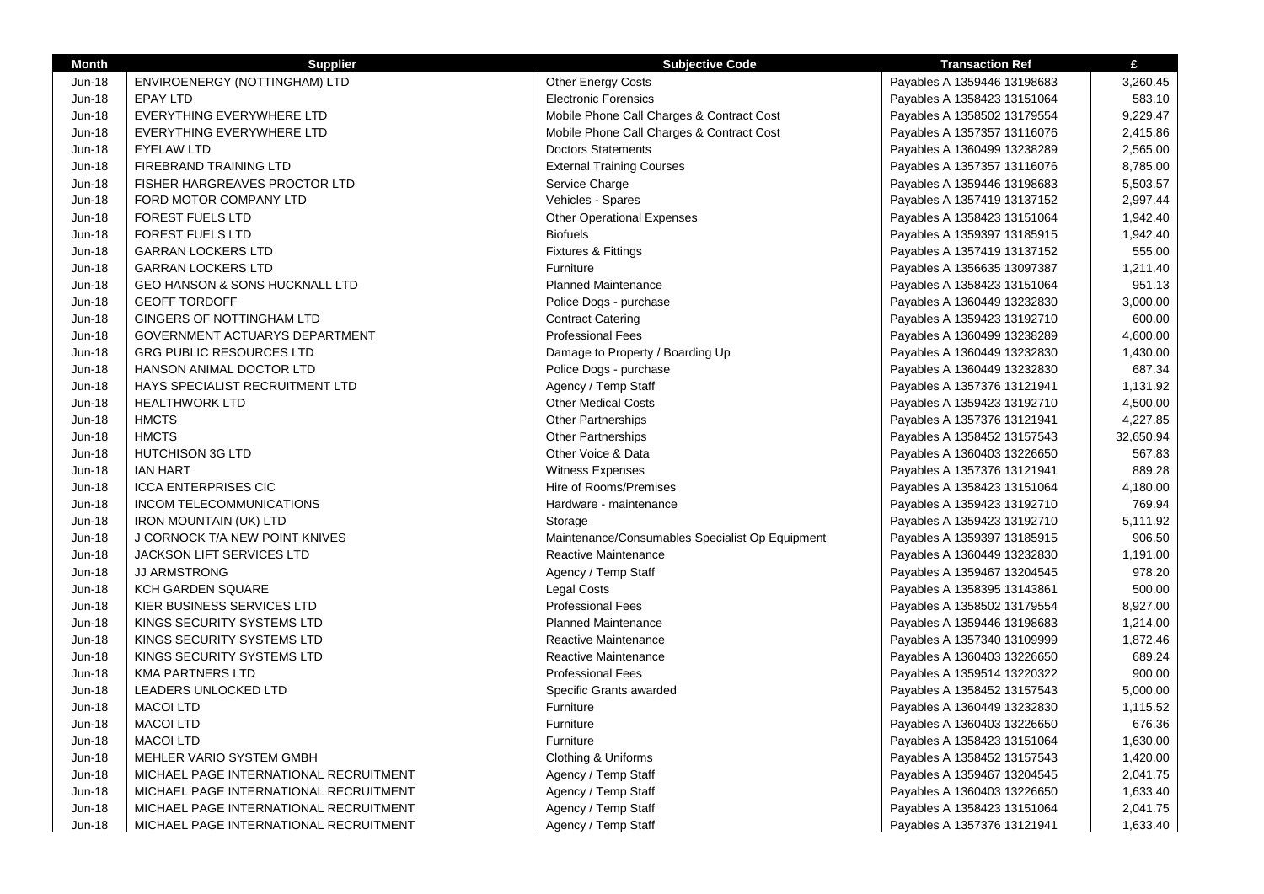| Month         | <b>Supplier</b>                           | <b>Subjective Code</b>                          | <b>Transaction Ref</b>      | £         |
|---------------|-------------------------------------------|-------------------------------------------------|-----------------------------|-----------|
| Jun-18        | ENVIROENERGY (NOTTINGHAM) LTD             | Other Energy Costs                              | Payables A 1359446 13198683 | 3,260.45  |
| Jun-18        | EPAY LTD                                  | <b>Electronic Forensics</b>                     | Payables A 1358423 13151064 | 583.10    |
| <b>Jun-18</b> | EVERYTHING EVERYWHERE LTD                 | Mobile Phone Call Charges & Contract Cost       | Payables A 1358502 13179554 | 9,229.47  |
| Jun-18        | EVERYTHING EVERYWHERE LTD                 | Mobile Phone Call Charges & Contract Cost       | Payables A 1357357 13116076 | 2,415.86  |
| Jun-18        | <b>EYELAW LTD</b>                         | <b>Doctors Statements</b>                       | Payables A 1360499 13238289 | 2,565.00  |
| Jun-18        | FIREBRAND TRAINING LTD                    | <b>External Training Courses</b>                | Payables A 1357357 13116076 | 8,785.00  |
| <b>Jun-18</b> | FISHER HARGREAVES PROCTOR LTD             | Service Charge                                  | Payables A 1359446 13198683 | 5,503.57  |
| Jun-18        | FORD MOTOR COMPANY LTD                    | Vehicles - Spares                               | Payables A 1357419 13137152 | 2,997.44  |
| <b>Jun-18</b> | FOREST FUELS LTD                          | <b>Other Operational Expenses</b>               | Payables A 1358423 13151064 | 1,942.40  |
| Jun-18        | <b>FOREST FUELS LTD</b>                   | <b>Biofuels</b>                                 | Payables A 1359397 13185915 | 1,942.40  |
| Jun-18        | <b>GARRAN LOCKERS LTD</b>                 | Fixtures & Fittings                             | Payables A 1357419 13137152 | 555.00    |
| Jun-18        | <b>GARRAN LOCKERS LTD</b>                 | Furniture                                       | Payables A 1356635 13097387 | 1,211.40  |
| Jun-18        | <b>GEO HANSON &amp; SONS HUCKNALL LTD</b> | <b>Planned Maintenance</b>                      | Payables A 1358423 13151064 | 951.13    |
| Jun-18        | <b>GEOFF TORDOFF</b>                      | Police Dogs - purchase                          | Payables A 1360449 13232830 | 3,000.00  |
| Jun-18        | GINGERS OF NOTTINGHAM LTD                 | <b>Contract Catering</b>                        | Payables A 1359423 13192710 | 600.00    |
| <b>Jun-18</b> | GOVERNMENT ACTUARYS DEPARTMENT            | <b>Professional Fees</b>                        | Payables A 1360499 13238289 | 4,600.00  |
| Jun-18        | <b>GRG PUBLIC RESOURCES LTD</b>           | Damage to Property / Boarding Up                | Payables A 1360449 13232830 | 1,430.00  |
| Jun-18        | HANSON ANIMAL DOCTOR LTD                  | Police Dogs - purchase                          | Payables A 1360449 13232830 | 687.34    |
| Jun-18        | HAYS SPECIALIST RECRUITMENT LTD           | Agency / Temp Staff                             | Payables A 1357376 13121941 | 1,131.92  |
| Jun-18        | <b>HEALTHWORK LTD</b>                     | <b>Other Medical Costs</b>                      | Payables A 1359423 13192710 | 4,500.00  |
| Jun-18        | <b>HMCTS</b>                              | <b>Other Partnerships</b>                       | Payables A 1357376 13121941 | 4,227.85  |
| <b>Jun-18</b> | <b>HMCTS</b>                              | <b>Other Partnerships</b>                       | Payables A 1358452 13157543 | 32,650.94 |
| <b>Jun-18</b> | <b>HUTCHISON 3G LTD</b>                   | Other Voice & Data                              | Payables A 1360403 13226650 | 567.83    |
| Jun-18        | <b>IAN HART</b>                           | <b>Witness Expenses</b>                         | Payables A 1357376 13121941 | 889.28    |
| Jun-18        | <b>ICCA ENTERPRISES CIC</b>               | Hire of Rooms/Premises                          | Payables A 1358423 13151064 | 4,180.00  |
| Jun-18        | INCOM TELECOMMUNICATIONS                  | Hardware - maintenance                          | Payables A 1359423 13192710 | 769.94    |
| Jun-18        | <b>IRON MOUNTAIN (UK) LTD</b>             | Storage                                         | Payables A 1359423 13192710 | 5,111.92  |
| Jun-18        | J CORNOCK T/A NEW POINT KNIVES            | Maintenance/Consumables Specialist Op Equipment | Payables A 1359397 13185915 | 906.50    |
| <b>Jun-18</b> | <b>JACKSON LIFT SERVICES LTD</b>          | Reactive Maintenance                            | Payables A 1360449 13232830 | 1,191.00  |
| Jun-18        | <b>JJ ARMSTRONG</b>                       | Agency / Temp Staff                             | Payables A 1359467 13204545 | 978.20    |
| Jun-18        | <b>KCH GARDEN SQUARE</b>                  | <b>Legal Costs</b>                              | Payables A 1358395 13143861 | 500.00    |
| Jun-18        | KIER BUSINESS SERVICES LTD                | <b>Professional Fees</b>                        | Payables A 1358502 13179554 | 8,927.00  |
| Jun-18        | KINGS SECURITY SYSTEMS LTD                | <b>Planned Maintenance</b>                      | Payables A 1359446 13198683 | 1,214.00  |
| Jun-18        | KINGS SECURITY SYSTEMS LTD                | Reactive Maintenance                            | Payables A 1357340 13109999 | 1,872.46  |
| <b>Jun-18</b> | KINGS SECURITY SYSTEMS LTD                | Reactive Maintenance                            | Payables A 1360403 13226650 | 689.24    |
| Jun-18        | <b>KMA PARTNERS LTD</b>                   | <b>Professional Fees</b>                        | Payables A 1359514 13220322 | 900.00    |
| Jun-18        | LEADERS UNLOCKED LTD                      | Specific Grants awarded                         | Payables A 1358452 13157543 | 5,000.00  |
| Jun-18        | <b>MACOI LTD</b>                          | Furniture                                       | Payables A 1360449 13232830 | 1,115.52  |
| Jun-18        | <b>MACOI LTD</b>                          | Furniture                                       | Payables A 1360403 13226650 | 676.36    |
| Jun-18        | <b>MACOI LTD</b>                          | Furniture                                       | Payables A 1358423 13151064 | 1,630.00  |
| Jun-18        | MEHLER VARIO SYSTEM GMBH                  | Clothing & Uniforms                             | Payables A 1358452 13157543 | 1,420.00  |
| <b>Jun-18</b> | MICHAEL PAGE INTERNATIONAL RECRUITMENT    | Agency / Temp Staff                             | Payables A 1359467 13204545 | 2,041.75  |
| Jun-18        | MICHAEL PAGE INTERNATIONAL RECRUITMENT    | Agency / Temp Staff                             | Payables A 1360403 13226650 | 1,633.40  |
| Jun-18        | MICHAEL PAGE INTERNATIONAL RECRUITMENT    | Agency / Temp Staff                             | Payables A 1358423 13151064 | 2,041.75  |
| <b>Jun-18</b> | MICHAEL PAGE INTERNATIONAL RECRUITMENT    | Agency / Temp Staff                             | Payables A 1357376 13121941 | 1,633.40  |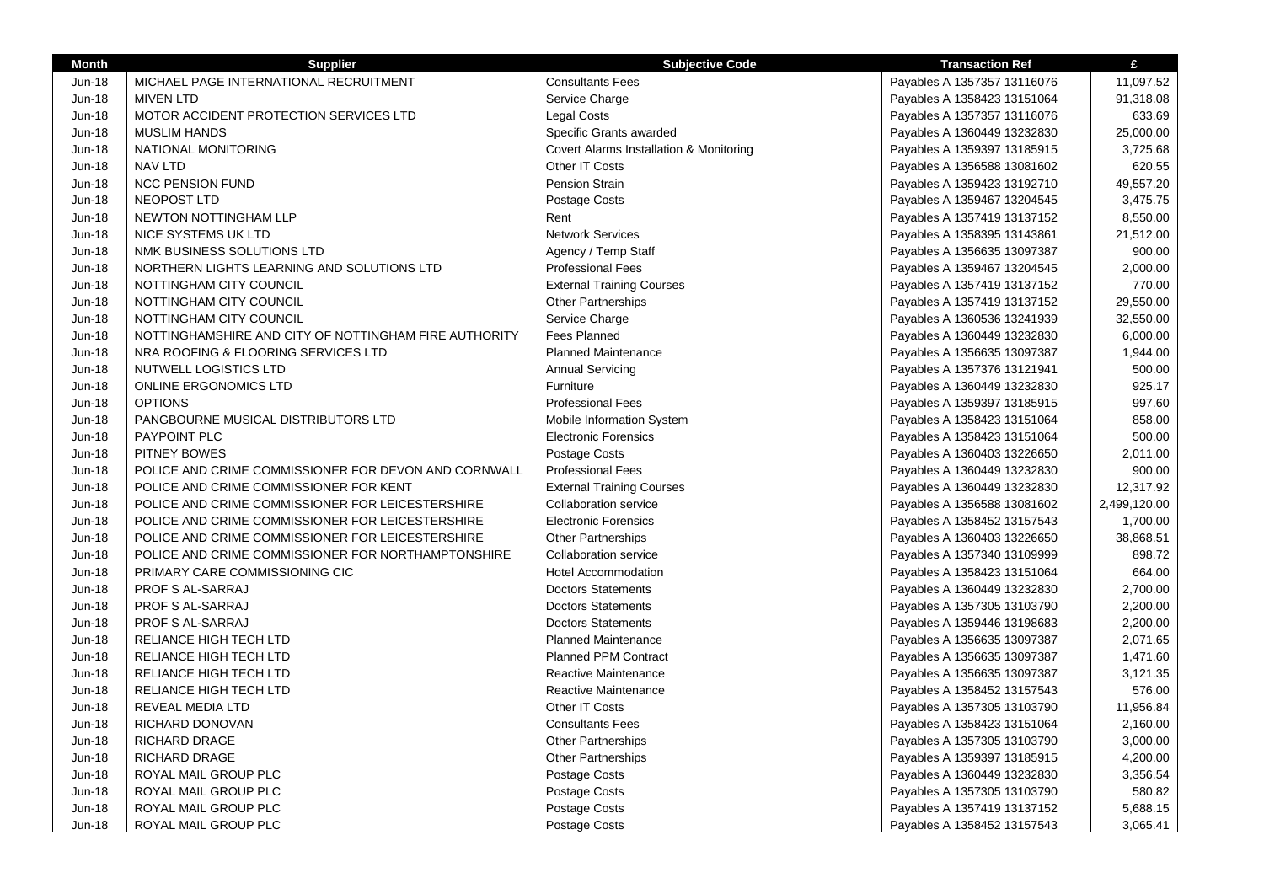| <b>Month</b>  | <b>Supplier</b>                                       | <b>Subjective Code</b>                  | <b>Transaction Ref</b>      | £            |
|---------------|-------------------------------------------------------|-----------------------------------------|-----------------------------|--------------|
| Jun-18        | MICHAEL PAGE INTERNATIONAL RECRUITMENT                | <b>Consultants Fees</b>                 | Payables A 1357357 13116076 | 11,097.52    |
| <b>Jun-18</b> | <b>MIVEN LTD</b>                                      | Service Charge                          | Payables A 1358423 13151064 | 91,318.08    |
| Jun-18        | MOTOR ACCIDENT PROTECTION SERVICES LTD                | <b>Legal Costs</b>                      | Payables A 1357357 13116076 | 633.69       |
| <b>Jun-18</b> | <b>MUSLIM HANDS</b>                                   | Specific Grants awarded                 | Payables A 1360449 13232830 | 25,000.00    |
| <b>Jun-18</b> | NATIONAL MONITORING                                   | Covert Alarms Installation & Monitoring | Payables A 1359397 13185915 | 3,725.68     |
| <b>Jun-18</b> | <b>NAV LTD</b>                                        | Other IT Costs                          | Payables A 1356588 13081602 | 620.55       |
| <b>Jun-18</b> | <b>NCC PENSION FUND</b>                               | <b>Pension Strain</b>                   | Payables A 1359423 13192710 | 49,557.20    |
| <b>Jun-18</b> | NEOPOST LTD                                           | Postage Costs                           | Payables A 1359467 13204545 | 3,475.75     |
| <b>Jun-18</b> | NEWTON NOTTINGHAM LLP                                 | Rent                                    | Payables A 1357419 13137152 | 8,550.00     |
| <b>Jun-18</b> | NICE SYSTEMS UK LTD                                   | <b>Network Services</b>                 | Payables A 1358395 13143861 | 21,512.00    |
| <b>Jun-18</b> | NMK BUSINESS SOLUTIONS LTD                            | Agency / Temp Staff                     | Payables A 1356635 13097387 | 900.00       |
| <b>Jun-18</b> | NORTHERN LIGHTS LEARNING AND SOLUTIONS LTD            | <b>Professional Fees</b>                | Payables A 1359467 13204545 | 2,000.00     |
| Jun-18        | NOTTINGHAM CITY COUNCIL                               | <b>External Training Courses</b>        | Payables A 1357419 13137152 | 770.00       |
| <b>Jun-18</b> | NOTTINGHAM CITY COUNCIL                               | <b>Other Partnerships</b>               | Payables A 1357419 13137152 | 29,550.00    |
| <b>Jun-18</b> | NOTTINGHAM CITY COUNCIL                               | Service Charge                          | Payables A 1360536 13241939 | 32,550.00    |
| <b>Jun-18</b> | NOTTINGHAMSHIRE AND CITY OF NOTTINGHAM FIRE AUTHORITY | Fees Planned                            | Payables A 1360449 13232830 | 6,000.00     |
| <b>Jun-18</b> | NRA ROOFING & FLOORING SERVICES LTD                   | <b>Planned Maintenance</b>              | Payables A 1356635 13097387 | 1,944.00     |
| <b>Jun-18</b> | NUTWELL LOGISTICS LTD                                 | <b>Annual Servicing</b>                 | Payables A 1357376 13121941 | 500.00       |
| <b>Jun-18</b> | <b>ONLINE ERGONOMICS LTD</b>                          | Furniture                               | Payables A 1360449 13232830 | 925.17       |
| <b>Jun-18</b> | <b>OPTIONS</b>                                        | <b>Professional Fees</b>                | Payables A 1359397 13185915 | 997.60       |
| <b>Jun-18</b> | PANGBOURNE MUSICAL DISTRIBUTORS LTD                   | Mobile Information System               | Payables A 1358423 13151064 | 858.00       |
| $Jun-18$      | <b>PAYPOINT PLC</b>                                   | <b>Electronic Forensics</b>             | Payables A 1358423 13151064 | 500.00       |
| <b>Jun-18</b> | PITNEY BOWES                                          | Postage Costs                           | Payables A 1360403 13226650 | 2,011.00     |
| <b>Jun-18</b> | POLICE AND CRIME COMMISSIONER FOR DEVON AND CORNWALL  | <b>Professional Fees</b>                | Payables A 1360449 13232830 | 900.00       |
| <b>Jun-18</b> | POLICE AND CRIME COMMISSIONER FOR KENT                | <b>External Training Courses</b>        | Payables A 1360449 13232830 | 12,317.92    |
| <b>Jun-18</b> | POLICE AND CRIME COMMISSIONER FOR LEICESTERSHIRE      | <b>Collaboration service</b>            | Payables A 1356588 13081602 | 2,499,120.00 |
| <b>Jun-18</b> | POLICE AND CRIME COMMISSIONER FOR LEICESTERSHIRE      | <b>Electronic Forensics</b>             | Payables A 1358452 13157543 | 1,700.00     |
| Jun-18        | POLICE AND CRIME COMMISSIONER FOR LEICESTERSHIRE      | <b>Other Partnerships</b>               | Payables A 1360403 13226650 | 38,868.51    |
| <b>Jun-18</b> | POLICE AND CRIME COMMISSIONER FOR NORTHAMPTONSHIRE    | <b>Collaboration service</b>            | Payables A 1357340 13109999 | 898.72       |
| <b>Jun-18</b> | PRIMARY CARE COMMISSIONING CIC                        | <b>Hotel Accommodation</b>              | Payables A 1358423 13151064 | 664.00       |
| <b>Jun-18</b> | PROF S AL-SARRAJ                                      | <b>Doctors Statements</b>               | Payables A 1360449 13232830 | 2.700.00     |
| <b>Jun-18</b> | PROF S AL-SARRAJ                                      | <b>Doctors Statements</b>               | Payables A 1357305 13103790 | 2,200.00     |
| <b>Jun-18</b> | <b>PROF S AL-SARRAJ</b>                               | <b>Doctors Statements</b>               | Payables A 1359446 13198683 | 2,200.00     |
| <b>Jun-18</b> | RELIANCE HIGH TECH LTD                                | <b>Planned Maintenance</b>              | Payables A 1356635 13097387 | 2,071.65     |
| <b>Jun-18</b> | RELIANCE HIGH TECH LTD                                | <b>Planned PPM Contract</b>             | Payables A 1356635 13097387 | 1,471.60     |
| <b>Jun-18</b> | RELIANCE HIGH TECH LTD                                | Reactive Maintenance                    | Payables A 1356635 13097387 | 3,121.35     |
| <b>Jun-18</b> | RELIANCE HIGH TECH LTD                                | Reactive Maintenance                    | Payables A 1358452 13157543 | 576.00       |
| Jun-18        | <b>REVEAL MEDIA LTD</b>                               | Other IT Costs                          | Payables A 1357305 13103790 | 11,956.84    |
| <b>Jun-18</b> | RICHARD DONOVAN                                       | <b>Consultants Fees</b>                 | Payables A 1358423 13151064 | 2,160.00     |
| Jun-18        | <b>RICHARD DRAGE</b>                                  | <b>Other Partnerships</b>               | Payables A 1357305 13103790 | 3,000.00     |
| Jun-18        | <b>RICHARD DRAGE</b>                                  | Other Partnerships                      | Payables A 1359397 13185915 | 4,200.00     |
| <b>Jun-18</b> | ROYAL MAIL GROUP PLC                                  | Postage Costs                           | Payables A 1360449 13232830 | 3,356.54     |
| Jun-18        | ROYAL MAIL GROUP PLC                                  | Postage Costs                           | Payables A 1357305 13103790 | 580.82       |
| Jun-18        | ROYAL MAIL GROUP PLC                                  | Postage Costs                           | Payables A 1357419 13137152 | 5,688.15     |
| Jun-18        | ROYAL MAIL GROUP PLC                                  | Postage Costs                           | Payables A 1358452 13157543 | 3,065.41     |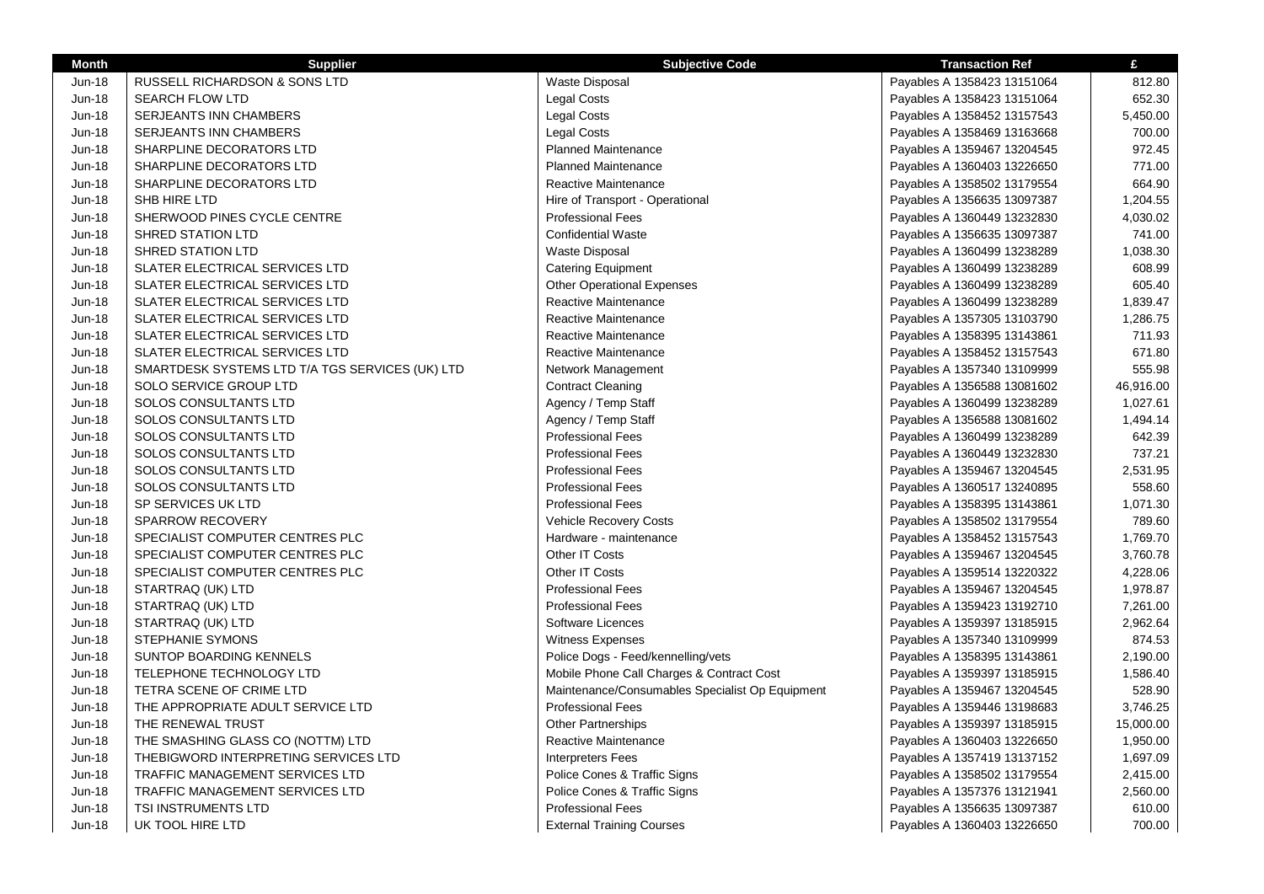| <b>Month</b>  | <b>Supplier</b>                                 | <b>Subjective Code</b>                          | <b>Transaction Ref</b>      | £         |
|---------------|-------------------------------------------------|-------------------------------------------------|-----------------------------|-----------|
| Jun-18        | <b>RUSSELL RICHARDSON &amp; SONS LTD</b>        | <b>Waste Disposal</b>                           | Payables A 1358423 13151064 | 812.80    |
| Jun-18        | <b>SEARCH FLOW LTD</b>                          | Legal Costs                                     | Payables A 1358423 13151064 | 652.30    |
| Jun-18        | SERJEANTS INN CHAMBERS                          | <b>Legal Costs</b>                              | Payables A 1358452 13157543 | 5,450.00  |
| Jun-18        | <b>SERJEANTS INN CHAMBERS</b>                   | Legal Costs                                     | Payables A 1358469 13163668 | 700.00    |
| Jun-18        | SHARPLINE DECORATORS LTD                        | <b>Planned Maintenance</b>                      | Payables A 1359467 13204545 | 972.45    |
| <b>Jun-18</b> | SHARPLINE DECORATORS LTD                        | <b>Planned Maintenance</b>                      | Payables A 1360403 13226650 | 771.00    |
| Jun-18        | SHARPLINE DECORATORS LTD                        | Reactive Maintenance                            | Payables A 1358502 13179554 | 664.90    |
| Jun-18        | SHB HIRE LTD                                    | Hire of Transport - Operational                 | Payables A 1356635 13097387 | 1,204.55  |
| Jun-18        | SHERWOOD PINES CYCLE CENTRE                     | <b>Professional Fees</b>                        | Payables A 1360449 13232830 | 4,030.02  |
| Jun-18        | <b>SHRED STATION LTD</b>                        | <b>Confidential Waste</b>                       | Payables A 1356635 13097387 | 741.00    |
| Jun-18        | <b>SHRED STATION LTD</b>                        | Waste Disposal                                  | Payables A 1360499 13238289 | 1,038.30  |
| Jun-18        | SLATER ELECTRICAL SERVICES LTD                  | <b>Catering Equipment</b>                       | Payables A 1360499 13238289 | 608.99    |
| Jun-18        | SLATER ELECTRICAL SERVICES LTD                  | <b>Other Operational Expenses</b>               | Payables A 1360499 13238289 | 605.40    |
| Jun-18        | SLATER ELECTRICAL SERVICES LTD                  | Reactive Maintenance                            | Payables A 1360499 13238289 | 1,839.47  |
| Jun-18        | SLATER ELECTRICAL SERVICES LTD                  | Reactive Maintenance                            | Payables A 1357305 13103790 | 1,286.75  |
| <b>Jun-18</b> | SLATER ELECTRICAL SERVICES LTD                  | Reactive Maintenance                            | Payables A 1358395 13143861 | 711.93    |
| Jun-18        | SLATER ELECTRICAL SERVICES LTD                  | Reactive Maintenance                            | Payables A 1358452 13157543 | 671.80    |
| Jun-18        | SMARTDESK SYSTEMS LTD T/A TGS SERVICES (UK) LTD | Network Management                              | Payables A 1357340 13109999 | 555.98    |
| Jun-18        | SOLO SERVICE GROUP LTD                          | <b>Contract Cleaning</b>                        | Payables A 1356588 13081602 | 46,916.00 |
| Jun-18        | <b>SOLOS CONSULTANTS LTD</b>                    | Agency / Temp Staff                             | Payables A 1360499 13238289 | 1,027.61  |
| Jun-18        | SOLOS CONSULTANTS LTD                           | Agency / Temp Staff                             | Payables A 1356588 13081602 | 1,494.14  |
| Jun-18        | SOLOS CONSULTANTS LTD                           | <b>Professional Fees</b>                        | Payables A 1360499 13238289 | 642.39    |
| <b>Jun-18</b> | <b>SOLOS CONSULTANTS LTD</b>                    | <b>Professional Fees</b>                        | Payables A 1360449 13232830 | 737.21    |
| Jun-18        | SOLOS CONSULTANTS LTD                           | <b>Professional Fees</b>                        | Payables A 1359467 13204545 | 2,531.95  |
| Jun-18        | SOLOS CONSULTANTS LTD                           | <b>Professional Fees</b>                        | Payables A 1360517 13240895 | 558.60    |
| Jun-18        | SP SERVICES UK LTD                              | <b>Professional Fees</b>                        | Payables A 1358395 13143861 | 1,071.30  |
| Jun-18        | <b>SPARROW RECOVERY</b>                         | Vehicle Recovery Costs                          | Payables A 1358502 13179554 | 789.60    |
| Jun-18        | SPECIALIST COMPUTER CENTRES PLC                 | Hardware - maintenance                          | Payables A 1358452 13157543 | 1,769.70  |
| <b>Jun-18</b> | SPECIALIST COMPUTER CENTRES PLC                 | Other IT Costs                                  | Payables A 1359467 13204545 | 3,760.78  |
| Jun-18        | SPECIALIST COMPUTER CENTRES PLC                 | Other IT Costs                                  | Payables A 1359514 13220322 | 4,228.06  |
| Jun-18        | STARTRAQ (UK) LTD                               | <b>Professional Fees</b>                        | Payables A 1359467 13204545 | 1,978.87  |
| Jun-18        | STARTRAQ (UK) LTD                               | <b>Professional Fees</b>                        | Payables A 1359423 13192710 | 7,261.00  |
| Jun-18        | STARTRAQ (UK) LTD                               | Software Licences                               | Payables A 1359397 13185915 | 2,962.64  |
| <b>Jun-18</b> | <b>STEPHANIE SYMONS</b>                         | <b>Witness Expenses</b>                         | Payables A 1357340 13109999 | 874.53    |
| Jun-18        | SUNTOP BOARDING KENNELS                         | Police Dogs - Feed/kennelling/vets              | Payables A 1358395 13143861 | 2,190.00  |
| Jun-18        | TELEPHONE TECHNOLOGY LTD                        | Mobile Phone Call Charges & Contract Cost       | Payables A 1359397 13185915 | 1,586.40  |
| Jun-18        | TETRA SCENE OF CRIME LTD                        | Maintenance/Consumables Specialist Op Equipment | Payables A 1359467 13204545 | 528.90    |
| <b>Jun-18</b> | THE APPROPRIATE ADULT SERVICE LTD               | <b>Professional Fees</b>                        | Payables A 1359446 13198683 | 3,746.25  |
| Jun-18        | THE RENEWAL TRUST                               | <b>Other Partnerships</b>                       | Payables A 1359397 13185915 | 15,000.00 |
| Jun-18        | THE SMASHING GLASS CO (NOTTM) LTD               | Reactive Maintenance                            | Payables A 1360403 13226650 | 1,950.00  |
| Jun-18        | THEBIGWORD INTERPRETING SERVICES LTD            | <b>Interpreters Fees</b>                        | Payables A 1357419 13137152 | 1,697.09  |
| Jun-18        | TRAFFIC MANAGEMENT SERVICES LTD                 | Police Cones & Traffic Signs                    | Payables A 1358502 13179554 | 2,415.00  |
| Jun-18        | TRAFFIC MANAGEMENT SERVICES LTD                 | Police Cones & Traffic Signs                    | Payables A 1357376 13121941 | 2,560.00  |
| <b>Jun-18</b> | TSI INSTRUMENTS LTD                             | <b>Professional Fees</b>                        | Payables A 1356635 13097387 | 610.00    |
| Jun-18        | UK TOOL HIRE LTD                                | <b>External Training Courses</b>                | Payables A 1360403 13226650 | 700.00    |